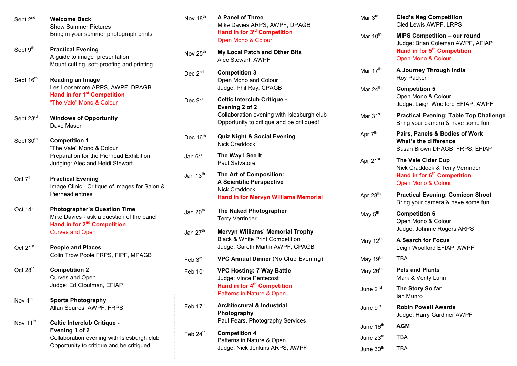| Sept 2 <sup>nd</sup>  | <b>Welcome Back</b><br><b>Show Summer Pictures</b>                                                                                | Nov 18 <sup>th</sup> | A Panel of Three<br>Mike Davies ARPS, AWPF, DPAGB                                                              | Mar $3^{\text{rd}}$   | <b>Cled's Neg Competition</b><br>Cled Lewis AWPF, LRPS                                    |
|-----------------------|-----------------------------------------------------------------------------------------------------------------------------------|----------------------|----------------------------------------------------------------------------------------------------------------|-----------------------|-------------------------------------------------------------------------------------------|
|                       | Bring in your summer photograph prints                                                                                            |                      | Hand in for 3 <sup>rd</sup> Competition<br>Open Mono & Colour                                                  | Mar 10 <sup>th</sup>  | <b>MIPS Competition - our round</b><br>Judge: Brian Coleman AWPF, AFIAP                   |
| Sept 9 <sup>th</sup>  | <b>Practical Evening</b><br>A guide to image presentation<br>Mount cutting, soft-proofing and printing                            | Nov 25 <sup>th</sup> | My Local Patch and Other Bits<br>Alec Stewart, AWPF                                                            |                       | Hand in for 5 <sup>th</sup> Competition<br>Open Mono & Colour                             |
| Sept 16 <sup>th</sup> | <b>Reading an Image</b><br>Les Loosemore ARPS, AWPF, DPAGB<br>Hand in for 1 <sup>st</sup> Competition<br>"The Vale" Mono & Colour | Dec $2^{nd}$         | <b>Competition 3</b><br>Open Mono and Colour                                                                   | Mar 17 <sup>th</sup>  | A Journey Through India<br>Roy Packer                                                     |
|                       |                                                                                                                                   |                      | Judge: Phil Ray, CPAGB                                                                                         | Mar 24 <sup>th</sup>  | <b>Competition 5</b><br>Open Mono & Colour                                                |
|                       |                                                                                                                                   | Dec $9th$            | <b>Celtic Interclub Critique -</b><br>Evening 2 of 2                                                           |                       | Judge: Leigh Woolford EFIAP, AWPF                                                         |
| Sept 23rd             | <b>Windows of Opportunity</b><br>Dave Mason                                                                                       |                      | Collaboration evening with Islesburgh club<br>Opportunity to critique and be critiqued!                        | Mar $31st$            | <b>Practical Evening: Table Top Challenge</b><br>Bring your camera & have some fun        |
| Sept 30 <sup>th</sup> | <b>Competition 1</b><br>"The Vale" Mono & Colour                                                                                  | Dec 16 <sup>th</sup> | <b>Quiz Night &amp; Social Evening</b><br>Nick Craddock                                                        | Apr 7 <sup>th</sup>   | Pairs, Panels & Bodies of Work<br>What's the difference<br>Susan Brown DPAGB, FRPS, EFIAP |
|                       | Preparation for the Pierhead Exhibition<br>Judging: Alec and Heidi Stewart                                                        | Jan 6 <sup>th</sup>  | The Way I See It<br>Paul Salvatore                                                                             | Apr 21 <sup>st</sup>  | The Vale Cider Cup<br>Nick Craddock & Terry Verrinder                                     |
| Oct $7th$             | <b>Practical Evening</b><br>Image Clinic - Critique of images for Salon &                                                         | Jan 13 <sup>th</sup> | The Art of Composition:<br><b>A Scientific Perspective</b><br>Nick Craddock                                    |                       | Hand in for 6 <sup>th</sup> Competition<br>Open Mono & Colour                             |
|                       | Pierhead entries                                                                                                                  |                      | <b>Hand in for Mervyn Williams Memorial</b>                                                                    | Apr 28 <sup>th</sup>  | <b>Practical Evening: Comicon Shoot</b><br>Bring your camera & have some fun              |
| Oct 14 <sup>th</sup>  | <b>Photographer's Question Time</b><br>Mike Davies - ask a question of the panel<br>Hand in for 2 <sup>nd</sup> Competition       | Jan 20 <sup>th</sup> | The Naked Photographer<br><b>Terry Verrinder</b>                                                               | May 5 <sup>th</sup>   | <b>Competition 6</b><br>Open Mono & Colour                                                |
|                       | <b>Curves and Open</b>                                                                                                            | Jan 27 <sup>th</sup> | <b>Mervyn Williams' Memorial Trophy</b><br>Black & White Print Competition<br>Judge: Gareth Martin AWPF, CPAGB | May 12 <sup>th</sup>  | Judge: Johnnie Rogers ARPS<br><b>A Search for Focus</b>                                   |
| Oct 21 <sup>st</sup>  | <b>People and Places</b><br>Colin Trow Poole FRPS, FIPF, MPAGB                                                                    | Feb $3^{\text{rd}}$  | VPC Annual Dinner (No Club Evening)                                                                            | May 19 <sup>th</sup>  | Leigh Woolford EFIAP, AWPF<br><b>TBA</b>                                                  |
| Oct $28th$            | <b>Competition 2</b><br>Curves and Open                                                                                           | Feb 10 <sup>th</sup> | <b>VPC Hosting: 7 Way Battle</b><br>Judge: Vince Pentecost                                                     | May 26 <sup>th</sup>  | <b>Pets and Plants</b><br>Mark & Verity Lunn                                              |
|                       | Judge: Ed Cloutman, EFIAP                                                                                                         |                      | Hand in for 4 <sup>th</sup> Competition<br>Patterns in Nature & Open                                           | June 2 <sup>nd</sup>  | The Story So far<br>Ian Munro                                                             |
| Nov 4 <sup>th</sup>   | <b>Sports Photography</b><br>Allan Squires, AWPF, FRPS                                                                            | Feb 17 <sup>th</sup> | <b>Architectural &amp; Industrial</b><br>Photography                                                           | June 9 <sup>th</sup>  | <b>Robin Powell Awards</b><br>Judge: Harry Gardiner AWPF                                  |
| Nov 11 <sup>th</sup>  | Celtic Interclub Critique -<br>Evening 1 of 2                                                                                     |                      | Paul Fears, Photography Services                                                                               | June 16 <sup>th</sup> | <b>AGM</b>                                                                                |
|                       | Collaboration evening with Islesburgh club<br>Opportunity to critique and be critiqued!                                           | Feb $24th$           | <b>Competition 4</b><br>Patterns in Nature & Open<br>Judge: Nick Jenkins ARPS, AWPF                            | June 23rd             | <b>TBA</b>                                                                                |
|                       |                                                                                                                                   |                      |                                                                                                                | June 30 <sup>th</sup> | <b>TBA</b>                                                                                |